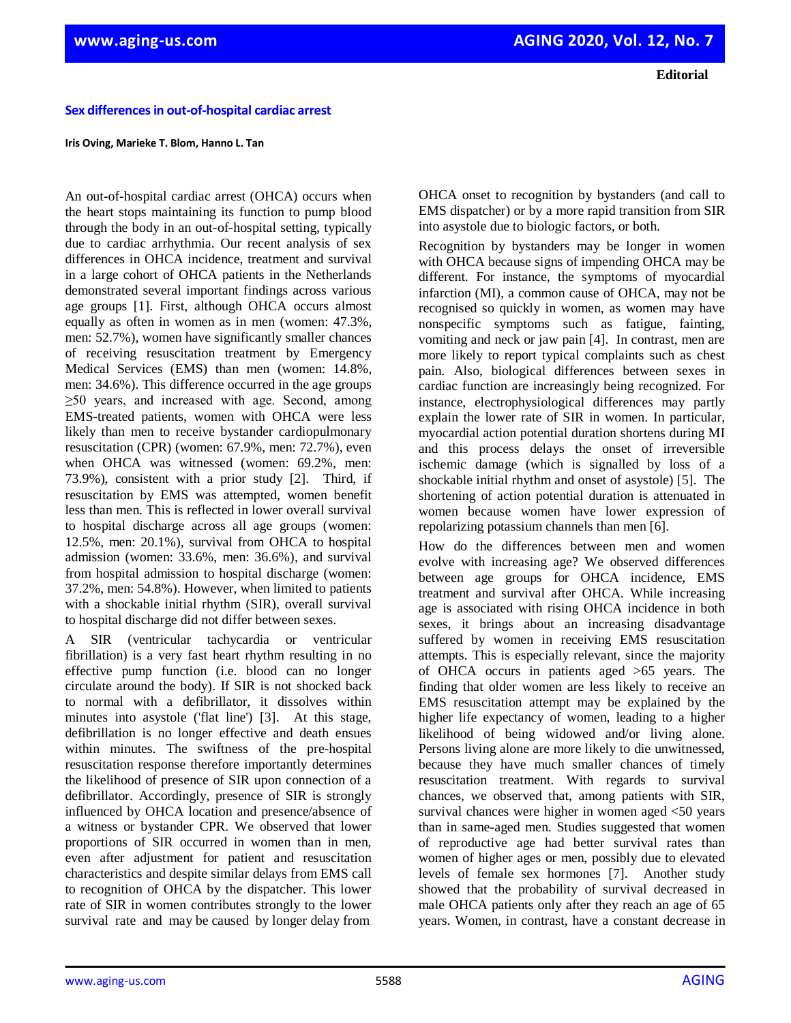**Editorial**

## **Sex differences in out-of-hospital cardiac arrest**

## **Iris Oving, Marieke T. Blom, Hanno L. Tan**

An out-of-hospital cardiac arrest (OHCA) occurs when the heart stops maintaining its function to pump blood through the body in an out-of-hospital setting, typically due to cardiac arrhythmia. Our recent analysis of sex differences in OHCA incidence, treatment and survival in a large cohort of OHCA patients in the Netherlands demonstrated several important findings across various age groups [1]. First, although OHCA occurs almost equally as often in women as in men (women: 47.3%, men: 52.7%), women have significantly smaller chances of receiving resuscitation treatment by Emergency Medical Services (EMS) than men (women: 14.8%, men: 34.6%). This difference occurred in the age groups ≥50 years, and increased with age. Second, among EMS-treated patients, women with OHCA were less likely than men to receive bystander cardiopulmonary resuscitation (CPR) (women: 67.9%, men: 72.7%), even when OHCA was witnessed (women: 69.2%, men: 73.9%), consistent with a prior study [2]. Third, if resuscitation by EMS was attempted, women benefit less than men. This is reflected in lower overall survival to hospital discharge across all age groups (women: 12.5%, men: 20.1%), survival from OHCA to hospital admission (women: 33.6%, men: 36.6%), and survival from hospital admission to hospital discharge (women: 37.2%, men: 54.8%). However, when limited to patients with a shockable initial rhythm (SIR), overall survival to hospital discharge did not differ between sexes.

A SIR (ventricular tachycardia or ventricular fibrillation) is a very fast heart rhythm resulting in no effective pump function (i.e. blood can no longer circulate around the body). If SIR is not shocked back to normal with a defibrillator, it dissolves within minutes into asystole ('flat line') [3]. At this stage, defibrillation is no longer effective and death ensues within minutes. The swiftness of the pre-hospital resuscitation response therefore importantly determines the likelihood of presence of SIR upon connection of a defibrillator. Accordingly, presence of SIR is strongly influenced by OHCA location and presence/absence of a witness or bystander CPR. We observed that lower proportions of SIR occurred in women than in men, even after adjustment for patient and resuscitation characteristics and despite similar delays from EMS call to recognition of OHCA by the dispatcher. This lower rate of SIR in women contributes strongly to the lower survival rate and may be caused by longer delay from

OHCA onset to recognition by bystanders (and call to EMS dispatcher) or by a more rapid transition from SIR into asystole due to biologic factors, or both.

Recognition by bystanders may be longer in women with OHCA because signs of impending OHCA may be different. For instance, the symptoms of myocardial infarction (MI), a common cause of OHCA, may not be recognised so quickly in women, as women may have nonspecific symptoms such as fatigue, fainting, vomiting and neck or jaw pain [4]. In contrast, men are more likely to report typical complaints such as chest pain. Also, biological differences between sexes in cardiac function are increasingly being recognized. For instance, electrophysiological differences may partly explain the lower rate of SIR in women. In particular, myocardial action potential duration shortens during MI and this process delays the onset of irreversible ischemic damage (which is signalled by loss of a shockable initial rhythm and onset of asystole) [5]. The shortening of action potential duration is attenuated in women because women have lower expression of repolarizing potassium channels than men [6].

How do the differences between men and women evolve with increasing age? We observed differences between age groups for OHCA incidence, EMS treatment and survival after OHCA. While increasing age is associated with rising OHCA incidence in both sexes, it brings about an increasing disadvantage suffered by women in receiving EMS resuscitation attempts. This is especially relevant, since the majority of OHCA occurs in patients aged >65 years. The finding that older women are less likely to receive an EMS resuscitation attempt may be explained by the higher life expectancy of women, leading to a higher likelihood of being widowed and/or living alone. Persons living alone are more likely to die unwitnessed, because they have much smaller chances of timely resuscitation treatment. With regards to survival chances, we observed that, among patients with SIR, survival chances were higher in women aged <50 years than in same-aged men. Studies suggested that women of reproductive age had better survival rates than women of higher ages or men, possibly due to elevated levels of female sex hormones [7]. Another study showed that the probability of survival decreased in male OHCA patients only after they reach an age of 65 years. Women, in contrast, have a constant decrease in